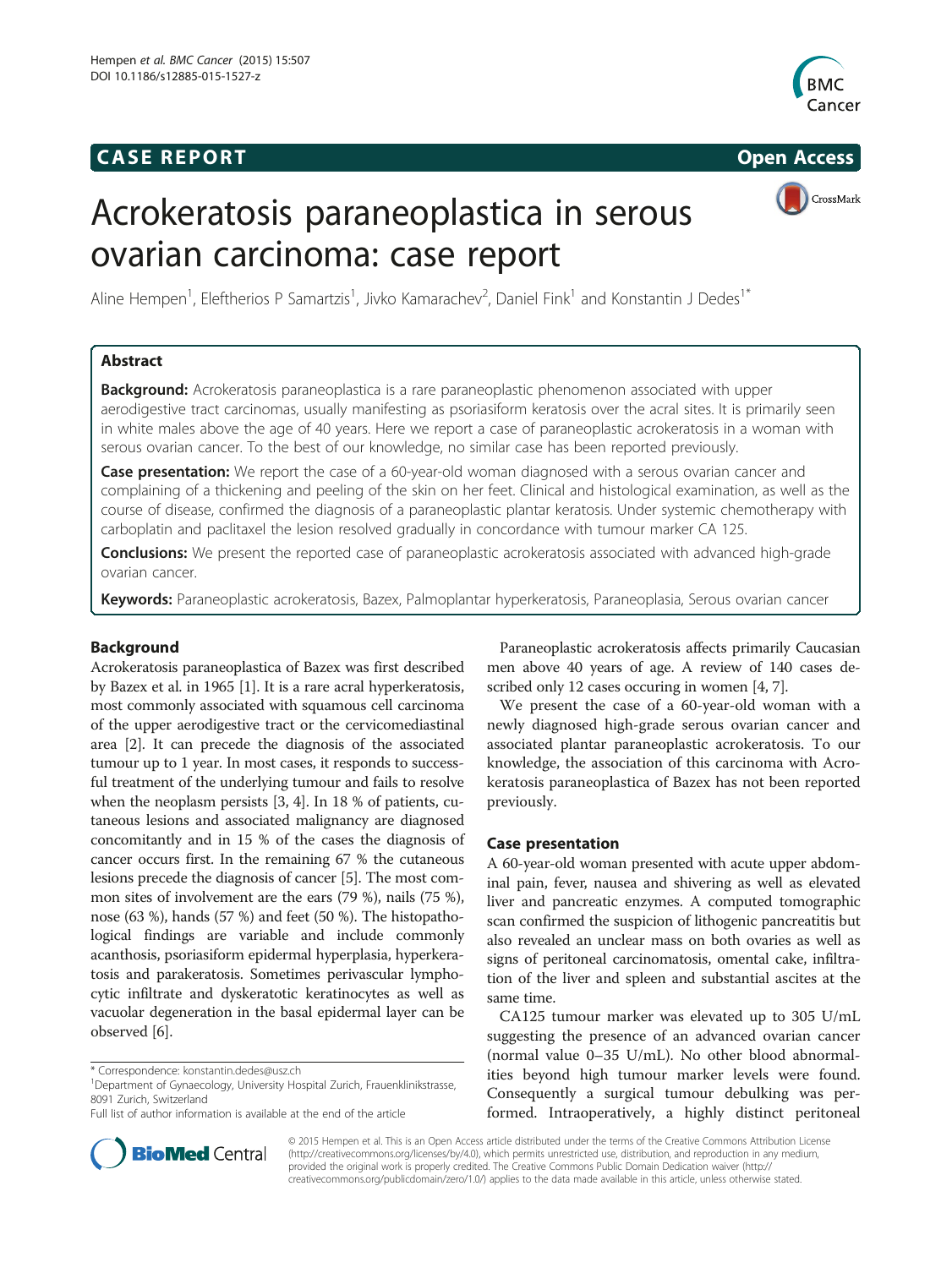## **CASE REPORT CASE REPORT**



CrossMark

# Acrokeratosis paraneoplastica in serous ovarian carcinoma: case report

Aline Hempen<sup>1</sup>, Eleftherios P Samartzis<sup>1</sup>, Jivko Kamarachev<sup>2</sup>, Daniel Fink<sup>1</sup> and Konstantin J Dedes<sup>1\*</sup>

## Abstract

**Background:** Acrokeratosis paraneoplastica is a rare paraneoplastic phenomenon associated with upper aerodigestive tract carcinomas, usually manifesting as psoriasiform keratosis over the acral sites. It is primarily seen in white males above the age of 40 years. Here we report a case of paraneoplastic acrokeratosis in a woman with serous ovarian cancer. To the best of our knowledge, no similar case has been reported previously.

Case presentation: We report the case of a 60-year-old woman diagnosed with a serous ovarian cancer and complaining of a thickening and peeling of the skin on her feet. Clinical and histological examination, as well as the course of disease, confirmed the diagnosis of a paraneoplastic plantar keratosis. Under systemic chemotherapy with carboplatin and paclitaxel the lesion resolved gradually in concordance with tumour marker CA 125.

Conclusions: We present the reported case of paraneoplastic acrokeratosis associated with advanced high-grade ovarian cancer.

Keywords: Paraneoplastic acrokeratosis, Bazex, Palmoplantar hyperkeratosis, Paraneoplasia, Serous ovarian cancer

## Background

Acrokeratosis paraneoplastica of Bazex was first described by Bazex et al. in 1965 [[1](#page-2-0)]. It is a rare acral hyperkeratosis, most commonly associated with squamous cell carcinoma of the upper aerodigestive tract or the cervicomediastinal area [\[2\]](#page-2-0). It can precede the diagnosis of the associated tumour up to 1 year. In most cases, it responds to successful treatment of the underlying tumour and fails to resolve when the neoplasm persists [[3, 4](#page-2-0)]. In 18 % of patients, cutaneous lesions and associated malignancy are diagnosed concomitantly and in 15 % of the cases the diagnosis of cancer occurs first. In the remaining 67 % the cutaneous lesions precede the diagnosis of cancer [\[5](#page-2-0)]. The most common sites of involvement are the ears (79 %), nails (75 %), nose (63 %), hands (57 %) and feet (50 %). The histopathological findings are variable and include commonly acanthosis, psoriasiform epidermal hyperplasia, hyperkeratosis and parakeratosis. Sometimes perivascular lymphocytic infiltrate and dyskeratotic keratinocytes as well as vacuolar degeneration in the basal epidermal layer can be observed [\[6\]](#page-2-0).



We present the case of a 60-year-old woman with a newly diagnosed high-grade serous ovarian cancer and associated plantar paraneoplastic acrokeratosis. To our knowledge, the association of this carcinoma with Acrokeratosis paraneoplastica of Bazex has not been reported previously.

## Case presentation

A 60-year-old woman presented with acute upper abdominal pain, fever, nausea and shivering as well as elevated liver and pancreatic enzymes. A computed tomographic scan confirmed the suspicion of lithogenic pancreatitis but also revealed an unclear mass on both ovaries as well as signs of peritoneal carcinomatosis, omental cake, infiltration of the liver and spleen and substantial ascites at the same time.

CA125 tumour marker was elevated up to 305 U/mL suggesting the presence of an advanced ovarian cancer (normal value 0–35 U/mL). No other blood abnormalities beyond high tumour marker levels were found. Consequently a surgical tumour debulking was performed. Intraoperatively, a highly distinct peritoneal



© 2015 Hempen et al. This is an Open Access article distributed under the terms of the Creative Commons Attribution License [\(http://creativecommons.org/licenses/by/4.0\)](http://creativecommons.org/licenses/by/4.0), which permits unrestricted use, distribution, and reproduction in any medium, provided the original work is properly credited. The Creative Commons Public Domain Dedication waiver [\(http://](http://creativecommons.org/publicdomain/zero/1.0/) [creativecommons.org/publicdomain/zero/1.0/\)](http://creativecommons.org/publicdomain/zero/1.0/) applies to the data made available in this article, unless otherwise stated.

<sup>\*</sup> Correspondence: [konstantin.dedes@usz.ch](mailto:konstantin.dedes@usz.ch) <sup>1</sup>

<sup>&</sup>lt;sup>1</sup>Department of Gynaecology, University Hospital Zurich, Frauenklinikstrasse, 8091 Zurich, Switzerland

Full list of author information is available at the end of the article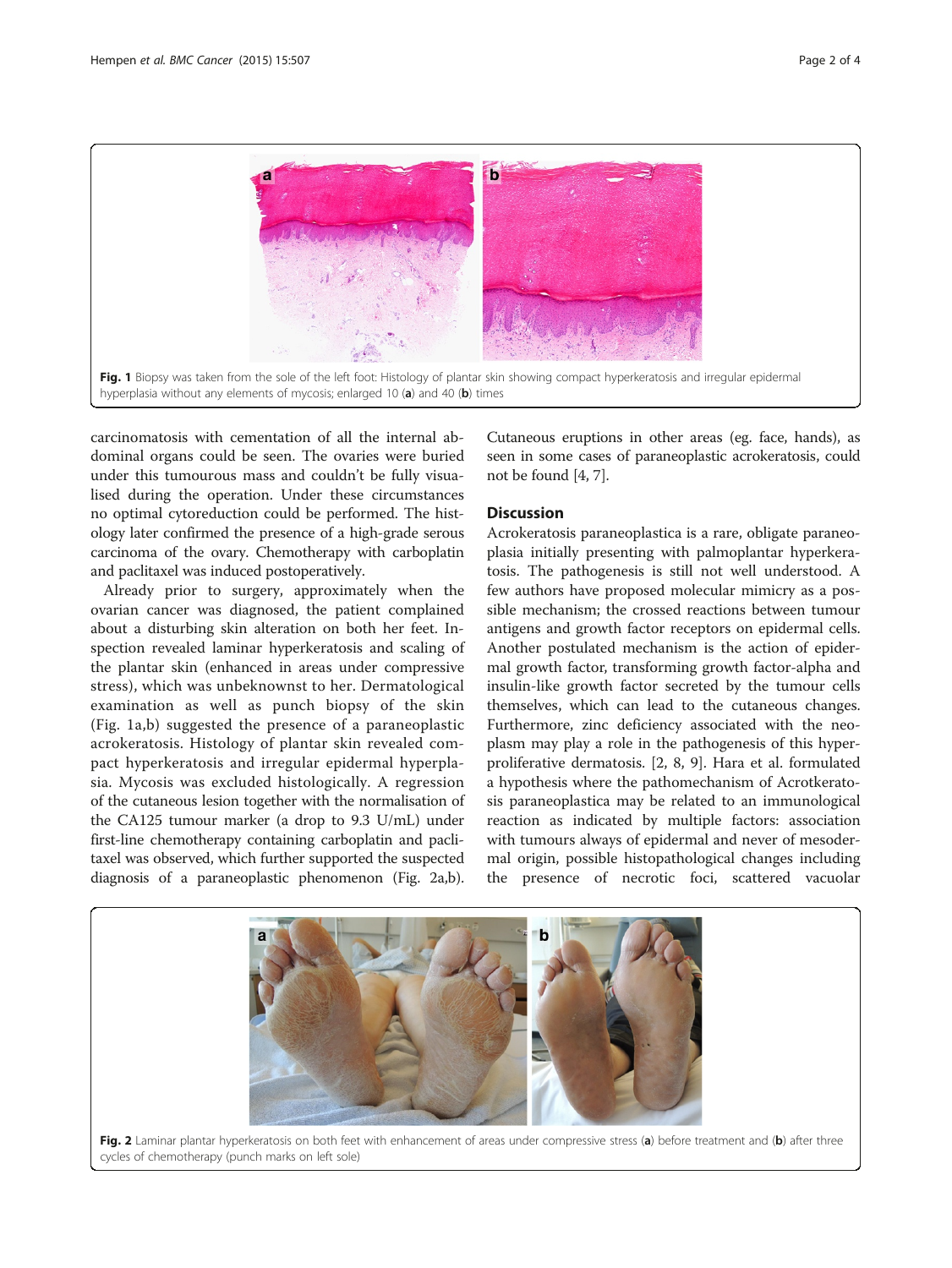

carcinomatosis with cementation of all the internal abdominal organs could be seen. The ovaries were buried under this tumourous mass and couldn't be fully visualised during the operation. Under these circumstances no optimal cytoreduction could be performed. The histology later confirmed the presence of a high-grade serous carcinoma of the ovary. Chemotherapy with carboplatin and paclitaxel was induced postoperatively.

Already prior to surgery, approximately when the ovarian cancer was diagnosed, the patient complained about a disturbing skin alteration on both her feet. Inspection revealed laminar hyperkeratosis and scaling of the plantar skin (enhanced in areas under compressive stress), which was unbeknownst to her. Dermatological examination as well as punch biopsy of the skin (Fig. 1a,b) suggested the presence of a paraneoplastic acrokeratosis. Histology of plantar skin revealed compact hyperkeratosis and irregular epidermal hyperplasia. Mycosis was excluded histologically. A regression of the cutaneous lesion together with the normalisation of the CA125 tumour marker (a drop to 9.3 U/mL) under first-line chemotherapy containing carboplatin and paclitaxel was observed, which further supported the suspected diagnosis of a paraneoplastic phenomenon (Fig. 2a,b).

Cutaneous eruptions in other areas (eg. face, hands), as seen in some cases of paraneoplastic acrokeratosis, could not be found [[4,](#page-2-0) [7](#page-3-0)].

## Discussion

Acrokeratosis paraneoplastica is a rare, obligate paraneoplasia initially presenting with palmoplantar hyperkeratosis. The pathogenesis is still not well understood. A few authors have proposed molecular mimicry as a possible mechanism; the crossed reactions between tumour antigens and growth factor receptors on epidermal cells. Another postulated mechanism is the action of epidermal growth factor, transforming growth factor-alpha and insulin-like growth factor secreted by the tumour cells themselves, which can lead to the cutaneous changes. Furthermore, zinc deficiency associated with the neoplasm may play a role in the pathogenesis of this hyperproliferative dermatosis. [[2,](#page-2-0) [8](#page-3-0), [9](#page-3-0)]. Hara et al. formulated a hypothesis where the pathomechanism of Acrotkeratosis paraneoplastica may be related to an immunological reaction as indicated by multiple factors: association with tumours always of epidermal and never of mesodermal origin, possible histopathological changes including the presence of necrotic foci, scattered vacuolar

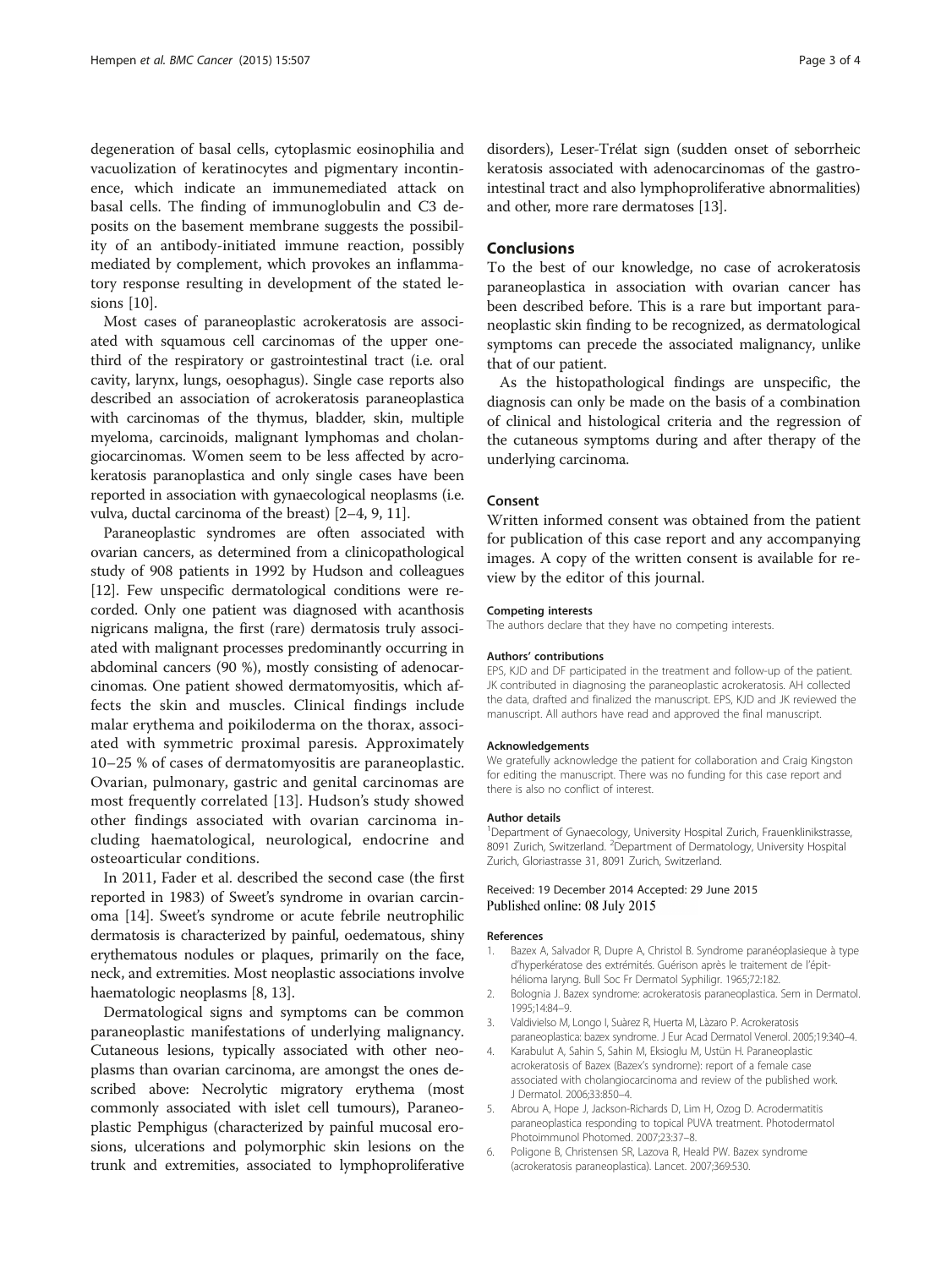<span id="page-2-0"></span>degeneration of basal cells, cytoplasmic eosinophilia and vacuolization of keratinocytes and pigmentary incontinence, which indicate an immunemediated attack on basal cells. The finding of immunoglobulin and C3 deposits on the basement membrane suggests the possibility of an antibody-initiated immune reaction, possibly mediated by complement, which provokes an inflammatory response resulting in development of the stated lesions [\[10](#page-3-0)].

Most cases of paraneoplastic acrokeratosis are associated with squamous cell carcinomas of the upper onethird of the respiratory or gastrointestinal tract (i.e. oral cavity, larynx, lungs, oesophagus). Single case reports also described an association of acrokeratosis paraneoplastica with carcinomas of the thymus, bladder, skin, multiple myeloma, carcinoids, malignant lymphomas and cholangiocarcinomas. Women seem to be less affected by acrokeratosis paranoplastica and only single cases have been reported in association with gynaecological neoplasms (i.e. vulva, ductal carcinoma of the breast) [2–4, [9](#page-3-0), [11](#page-3-0)].

Paraneoplastic syndromes are often associated with ovarian cancers, as determined from a clinicopathological study of 908 patients in 1992 by Hudson and colleagues [[12](#page-3-0)]. Few unspecific dermatological conditions were recorded. Only one patient was diagnosed with acanthosis nigricans maligna, the first (rare) dermatosis truly associated with malignant processes predominantly occurring in abdominal cancers (90 %), mostly consisting of adenocarcinomas. One patient showed dermatomyositis, which affects the skin and muscles. Clinical findings include malar erythema and poikiloderma on the thorax, associated with symmetric proximal paresis. Approximately 10–25 % of cases of dermatomyositis are paraneoplastic. Ovarian, pulmonary, gastric and genital carcinomas are most frequently correlated [[13](#page-3-0)]. Hudson's study showed other findings associated with ovarian carcinoma including haematological, neurological, endocrine and osteoarticular conditions.

In 2011, Fader et al. described the second case (the first reported in 1983) of Sweet's syndrome in ovarian carcinoma [\[14\]](#page-3-0). Sweet's syndrome or acute febrile neutrophilic dermatosis is characterized by painful, oedematous, shiny erythematous nodules or plaques, primarily on the face, neck, and extremities. Most neoplastic associations involve haematologic neoplasms [\[8](#page-3-0), [13](#page-3-0)].

Dermatological signs and symptoms can be common paraneoplastic manifestations of underlying malignancy. Cutaneous lesions, typically associated with other neoplasms than ovarian carcinoma, are amongst the ones described above: Necrolytic migratory erythema (most commonly associated with islet cell tumours), Paraneoplastic Pemphigus (characterized by painful mucosal erosions, ulcerations and polymorphic skin lesions on the trunk and extremities, associated to lymphoproliferative disorders), Leser-Trélat sign (sudden onset of seborrheic keratosis associated with adenocarcinomas of the gastrointestinal tract and also lymphoproliferative abnormalities) and other, more rare dermatoses [\[13\]](#page-3-0).

## Conclusions

To the best of our knowledge, no case of acrokeratosis paraneoplastica in association with ovarian cancer has been described before. This is a rare but important paraneoplastic skin finding to be recognized, as dermatological symptoms can precede the associated malignancy, unlike that of our patient.

As the histopathological findings are unspecific, the diagnosis can only be made on the basis of a combination of clinical and histological criteria and the regression of the cutaneous symptoms during and after therapy of the underlying carcinoma.

### Consent

Written informed consent was obtained from the patient for publication of this case report and any accompanying images. A copy of the written consent is available for review by the editor of this journal.

#### Competing interests

The authors declare that they have no competing interests.

#### Authors' contributions

EPS, KJD and DF participated in the treatment and follow-up of the patient. JK contributed in diagnosing the paraneoplastic acrokeratosis. AH collected the data, drafted and finalized the manuscript. EPS, KJD and JK reviewed the manuscript. All authors have read and approved the final manuscript.

#### Acknowledgements

We gratefully acknowledge the patient for collaboration and Craig Kingston for editing the manuscript. There was no funding for this case report and there is also no conflict of interest.

#### Author details

<sup>1</sup>Department of Gynaecology, University Hospital Zurich, Frauenklinikstrasse, 8091 Zurich, Switzerland. <sup>2</sup> Department of Dermatology, University Hospital Zurich, Gloriastrasse 31, 8091 Zurich, Switzerland.

#### Received: 19 December 2014 Accepted: 29 June 2015 Published online: 08 July 2015

#### References

- 1. Bazex A, Salvador R, Dupre A, Christol B. Syndrome paranéoplasieque à type d'hyperkératose des extrémités. Guérison après le traitement de l'épithélioma laryng. Bull Soc Fr Dermatol Syphiligr. 1965;72:182.
- 2. Bolognia J. Bazex syndrome: acrokeratosis paraneoplastica. Sem in Dermatol. 1995;14:84–9.
- 3. Valdivielso M, Longo I, Suàrez R, Huerta M, Làzaro P. Acrokeratosis paraneoplastica: bazex syndrome. J Eur Acad Dermatol Venerol. 2005;19:340–4.
- Karabulut A, Sahin S, Sahin M, Eksioglu M, Ustün H. Paraneoplastic acrokeratosis of Bazex (Bazex's syndrome): report of a female case associated with cholangiocarcinoma and review of the published work. J Dermatol. 2006;33:850–4.
- 5. Abrou A, Hope J, Jackson-Richards D, Lim H, Ozog D. Acrodermatitis paraneoplastica responding to topical PUVA treatment. Photodermatol Photoimmunol Photomed. 2007;23:37–8.
- 6. Poligone B, Christensen SR, Lazova R, Heald PW. Bazex syndrome (acrokeratosis paraneoplastica). Lancet. 2007;369:530.